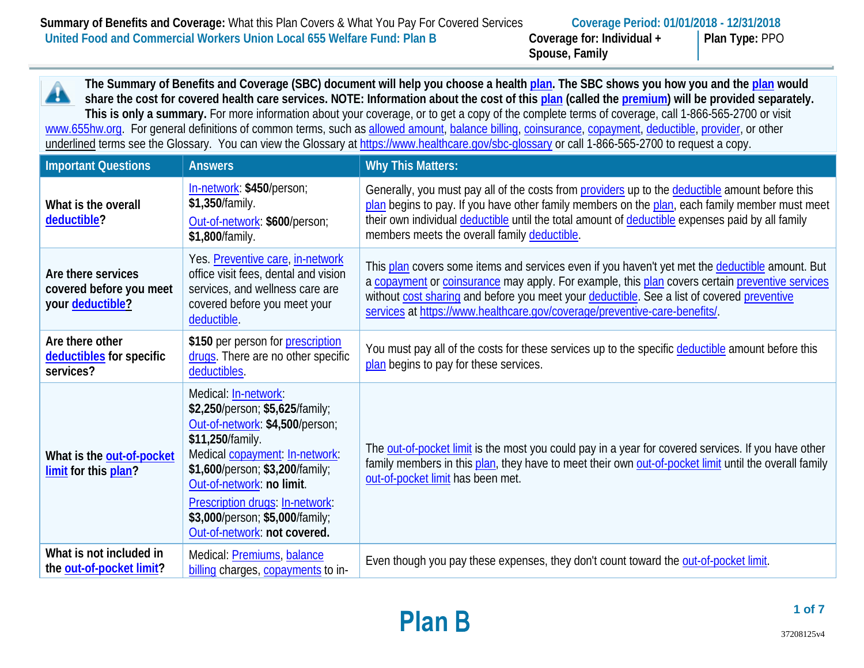**Spouse, Family**

**Plan Type:** PPO

**The Summary of Benefits and Coverage (SBC) document will help you choose a health [plan.](https://www.healthcare.gov/sbc-glossary/#plan) The SBC shows you how you and the [plan](https://www.healthcare.gov/sbc-glossary/#plan) would**  Â **share the cost for covered health care services. NOTE: Information about the cost of thi[s plan](https://www.healthcare.gov/sbc-glossary/#plan) (called the [premium\)](https://www.healthcare.gov/sbc-glossary/#premium) will be provided separately. This is only a summary.** For more information about your coverage, or to get a copy of the complete terms of coverage, call 1-866-565-2700 or visit [www.655hw.org.](http://www.655hw.org/) For general definitions of common terms, such as [allowed amount,](https://www.healthcare.gov/sbc-glossary/#allowed-amount) [balance billing,](https://www.healthcare.gov/sbc-glossary/#balance-billing) [coinsurance,](https://www.healthcare.gov/sbc-glossary/#coinsurance) [copayment,](https://www.healthcare.gov/sbc-glossary/#copayment) [deductible,](https://www.healthcare.gov/sbc-glossary/#deductible) [provider,](https://www.healthcare.gov/sbc-glossary/#provider) or other underlined terms see the Glossary. You can view the Glossary at<https://www.healthcare.gov/sbc-glossary> or call 1-866-565-2700 to request a copy.

| <b>Important Questions</b>                                        | <b>Answers</b>                                                                                                                                                                                                                                                                                                         | <b>Why This Matters:</b>                                                                                                                                                                                                                                                                                                                                                       |
|-------------------------------------------------------------------|------------------------------------------------------------------------------------------------------------------------------------------------------------------------------------------------------------------------------------------------------------------------------------------------------------------------|--------------------------------------------------------------------------------------------------------------------------------------------------------------------------------------------------------------------------------------------------------------------------------------------------------------------------------------------------------------------------------|
| What is the overall<br>deductible?                                | In-network: \$450/person;<br>\$1,350/family.<br>Out-of-network: \$600/person;<br>\$1,800/family.                                                                                                                                                                                                                       | Generally, you must pay all of the costs from providers up to the deductible amount before this<br>plan begins to pay. If you have other family members on the plan, each family member must meet<br>their own individual deductible until the total amount of deductible expenses paid by all family<br>members meets the overall family deductible.                          |
| Are there services<br>covered before you meet<br>your deductible? | Yes. Preventive care, in-network<br>office visit fees, dental and vision<br>services, and wellness care are<br>covered before you meet your<br>deductible.                                                                                                                                                             | This plan covers some items and services even if you haven't yet met the deductible amount. But<br>a copayment or coinsurance may apply. For example, this plan covers certain preventive services<br>without cost sharing and before you meet your deductible. See a list of covered preventive<br>services at https://www.healthcare.gov/coverage/preventive-care-benefits/. |
| Are there other<br>deductibles for specific<br>services?          | \$150 per person for prescription<br>drugs. There are no other specific<br>deductibles.                                                                                                                                                                                                                                | You must pay all of the costs for these services up to the specific deductible amount before this<br>plan begins to pay for these services.                                                                                                                                                                                                                                    |
| What is the out-of-pocket<br>limit for this plan?                 | Medical: In-network:<br>\$2,250/person; \$5,625/family;<br>Out-of-network: \$4,500/person;<br>\$11,250/family.<br>Medical copayment: In-network:<br>\$1,600/person; \$3,200/family;<br>Out-of-network: no limit.<br>Prescription drugs: In-network:<br>\$3,000/person; \$5,000/family;<br>Out-of-network: not covered. | The out-of-pocket limit is the most you could pay in a year for covered services. If you have other<br>family members in this plan, they have to meet their own out-of-pocket limit until the overall family<br>out-of-pocket limit has been met.                                                                                                                              |
| What is not included in<br>the out-of-pocket limit?               | Medical: <b>Premiums</b> , balance<br>billing charges, copayments to in-                                                                                                                                                                                                                                               | Even though you pay these expenses, they don't count toward the out-of-pocket limit.                                                                                                                                                                                                                                                                                           |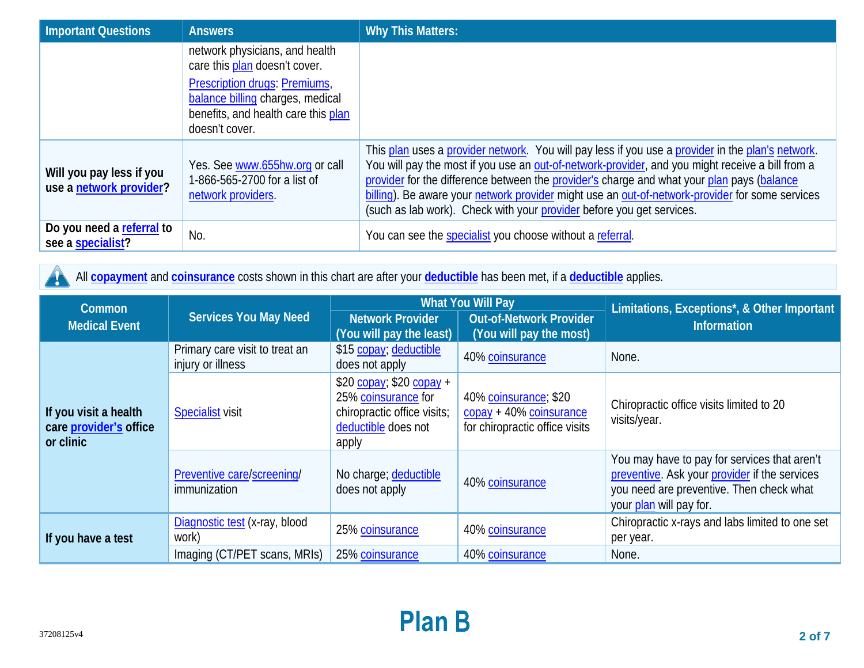| Important Questions                                 | <b>Answers</b>                                                                                   | <b>Why This Matters:</b>                                                                                                                                                                                                                                                                                                                                                                                                                                                        |
|-----------------------------------------------------|--------------------------------------------------------------------------------------------------|---------------------------------------------------------------------------------------------------------------------------------------------------------------------------------------------------------------------------------------------------------------------------------------------------------------------------------------------------------------------------------------------------------------------------------------------------------------------------------|
|                                                     | network physicians, and health<br>care this plan doesn't cover.<br>Prescription drugs: Premiums, |                                                                                                                                                                                                                                                                                                                                                                                                                                                                                 |
|                                                     | balance billing charges, medical<br>benefits, and health care this plan<br>doesn't cover.        |                                                                                                                                                                                                                                                                                                                                                                                                                                                                                 |
| Will you pay less if you<br>use a network provider? | Yes. See www.655hw.org or call<br>1-866-565-2700 for a list of<br>network providers.             | This plan uses a provider network. You will pay less if you use a provider in the plan's network.<br>You will pay the most if you use an out-of-network-provider, and you might receive a bill from a<br>provider for the difference between the provider's charge and what your plan pays (balance<br>billing). Be aware your network provider might use an out-of-network-provider for some services<br>(such as lab work). Check with your provider before you get services. |
| Do you need a referral to<br>see a specialist?      | No.                                                                                              | You can see the specialist you choose without a referral.                                                                                                                                                                                                                                                                                                                                                                                                                       |

All **[copayment](https://www.healthcare.gov/sbc-glossary/#copayment)** and **[coinsurance](https://www.healthcare.gov/sbc-glossary/#coinsurance)** costs shown in this chart are after your **[deductible](https://www.healthcare.gov/sbc-glossary/#deductible)** has been met, if a **[deductible](https://www.healthcare.gov/sbc-glossary/#deductible)** applies. A

| <b>What You Will Pay</b><br>Common                           |                                                                                       | Limitations, Exceptions*, & Other Important                                                                     |                                                                                                                                                                      |                                                              |
|--------------------------------------------------------------|---------------------------------------------------------------------------------------|-----------------------------------------------------------------------------------------------------------------|----------------------------------------------------------------------------------------------------------------------------------------------------------------------|--------------------------------------------------------------|
| <b>Medical Event</b>                                         | Services You May Need                                                                 | Network Provider<br>(You will pay the least)                                                                    | <b>Out-of-Network Provider</b><br>(You will pay the most)                                                                                                            | <b>Information</b>                                           |
|                                                              | Primary care visit to treat an<br>injury or illness                                   | \$15 copay; deductible<br>does not apply                                                                        | 40% coinsurance                                                                                                                                                      | None.                                                        |
| If you visit a health<br>care provider's office<br>or clinic | <b>Specialist visit</b>                                                               | $$20$ copay; \$20 copay +<br>25% coinsurance for<br>chiropractic office visits;<br>deductible does not<br>apply | 40% coinsurance; \$20<br>copay + 40% coinsurance<br>for chiropractic office visits                                                                                   | Chiropractic office visits limited to 20<br>visits/year.     |
|                                                              | Preventive care/screening/<br>No charge; deductible<br>does not apply<br>immunization | 40% coinsurance                                                                                                 | You may have to pay for services that aren't<br>preventive. Ask your provider if the services<br>you need are preventive. Then check what<br>your plan will pay for. |                                                              |
| If you have a test                                           | Diagnostic test (x-ray, blood<br>work)                                                | 25% coinsurance                                                                                                 | 40% coinsurance                                                                                                                                                      | Chiropractic x-rays and labs limited to one set<br>per year. |
|                                                              | Imaging (CT/PET scans, MRIs)                                                          | 25% coinsurance                                                                                                 | 40% coinsurance                                                                                                                                                      | None.                                                        |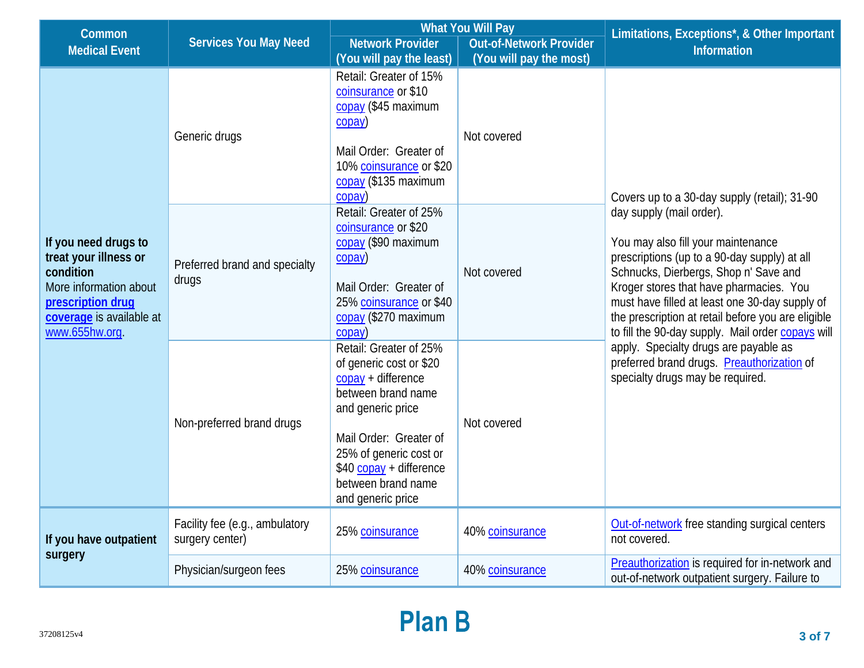| Common                                                                                                                                                                            |                                                   | <b>What You Will Pay</b>                                                                                                                                                                                                                       |                                | Limitations, Exceptions*, & Other Important                                                                                                                                                                                                                                                                                                                                                                                                                                                                                                |  |
|-----------------------------------------------------------------------------------------------------------------------------------------------------------------------------------|---------------------------------------------------|------------------------------------------------------------------------------------------------------------------------------------------------------------------------------------------------------------------------------------------------|--------------------------------|--------------------------------------------------------------------------------------------------------------------------------------------------------------------------------------------------------------------------------------------------------------------------------------------------------------------------------------------------------------------------------------------------------------------------------------------------------------------------------------------------------------------------------------------|--|
| <b>Medical Event</b>                                                                                                                                                              | <b>Services You May Need</b>                      | <b>Network Provider</b>                                                                                                                                                                                                                        | <b>Out-of-Network Provider</b> | <b>Information</b>                                                                                                                                                                                                                                                                                                                                                                                                                                                                                                                         |  |
|                                                                                                                                                                                   |                                                   | (You will pay the least)                                                                                                                                                                                                                       | (You will pay the most)        |                                                                                                                                                                                                                                                                                                                                                                                                                                                                                                                                            |  |
| If you need drugs to<br>treat your illness or<br>condition<br>More information about<br>prescription drug<br>coverage is available at<br>www.655hw.org.<br>If you have outpatient | Generic drugs                                     | Retail: Greater of 15%<br>coinsurance or \$10<br>copay (\$45 maximum<br>$\overline{copy}$<br>Mail Order: Greater of<br>10% coinsurance or \$20<br>copay (\$135 maximum<br>$\cos(2\theta)$                                                      | Not covered                    | Covers up to a 30-day supply (retail); 31-90<br>day supply (mail order).<br>You may also fill your maintenance<br>prescriptions (up to a 90-day supply) at all<br>Schnucks, Dierbergs, Shop n' Save and<br>Kroger stores that have pharmacies. You<br>must have filled at least one 30-day supply of<br>the prescription at retail before you are eligible<br>to fill the 90-day supply. Mail order copays will<br>apply. Specialty drugs are payable as<br>preferred brand drugs. Preauthorization of<br>specialty drugs may be required. |  |
|                                                                                                                                                                                   | Preferred brand and specialty<br>drugs            | Retail: Greater of 25%<br>coinsurance or \$20<br>copay (\$90 maximum<br>$\cos(2\theta)$<br>Mail Order: Greater of<br>25% coinsurance or \$40<br>copay (\$270 maximum<br>copay)                                                                 | Not covered                    |                                                                                                                                                                                                                                                                                                                                                                                                                                                                                                                                            |  |
|                                                                                                                                                                                   | Non-preferred brand drugs                         | Retail: Greater of 25%<br>of generic cost or \$20<br>$copy + difference$<br>between brand name<br>and generic price<br>Mail Order: Greater of<br>25% of generic cost or<br>$$40$ copay + difference<br>between brand name<br>and generic price | Not covered                    |                                                                                                                                                                                                                                                                                                                                                                                                                                                                                                                                            |  |
|                                                                                                                                                                                   | Facility fee (e.g., ambulatory<br>surgery center) | 25% coinsurance                                                                                                                                                                                                                                | 40% coinsurance                | Out-of-network free standing surgical centers<br>not covered.                                                                                                                                                                                                                                                                                                                                                                                                                                                                              |  |
| surgery                                                                                                                                                                           | Physician/surgeon fees                            | 25% coinsurance                                                                                                                                                                                                                                | 40% coinsurance                | Preauthorization is required for in-network and<br>out-of-network outpatient surgery. Failure to                                                                                                                                                                                                                                                                                                                                                                                                                                           |  |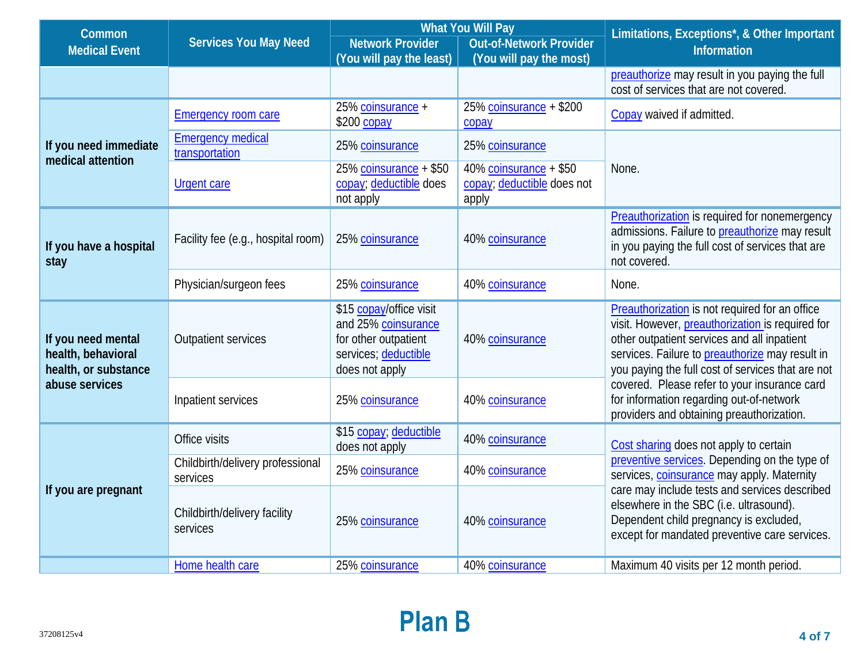| Common                                                           |                                              | <b>What You Will Pay</b>                                                                                         |                                                               | Limitations, Exceptions*, & Other Important                                                                                                                                                                                                               |  |
|------------------------------------------------------------------|----------------------------------------------|------------------------------------------------------------------------------------------------------------------|---------------------------------------------------------------|-----------------------------------------------------------------------------------------------------------------------------------------------------------------------------------------------------------------------------------------------------------|--|
| <b>Medical Event</b>                                             | <b>Services You May Need</b>                 | <b>Network Provider</b>                                                                                          | <b>Out-of-Network Provider</b>                                | <b>Information</b>                                                                                                                                                                                                                                        |  |
|                                                                  |                                              | (You will pay the least)                                                                                         | (You will pay the most)                                       |                                                                                                                                                                                                                                                           |  |
|                                                                  |                                              |                                                                                                                  |                                                               | preauthorize may result in you paying the full<br>cost of services that are not covered.                                                                                                                                                                  |  |
|                                                                  | <b>Emergency room care</b>                   | 25% coinsurance +<br>\$200 copay                                                                                 | 25% coinsurance $+$ \$200<br>copay                            | Copay waived if admitted.                                                                                                                                                                                                                                 |  |
| If you need immediate<br>medical attention                       | <b>Emergency medical</b><br>transportation   | 25% coinsurance                                                                                                  | 25% coinsurance                                               |                                                                                                                                                                                                                                                           |  |
|                                                                  | <b>Urgent care</b>                           | 25% coinsurance + \$50<br>copay; deductible does<br>not apply                                                    | 40% coinsurance + \$50<br>copay; deductible does not<br>apply | None.                                                                                                                                                                                                                                                     |  |
| If you have a hospital<br>stay                                   | Facility fee (e.g., hospital room)           | 25% coinsurance                                                                                                  | 40% coinsurance                                               | Preauthorization is required for nonemergency<br>admissions. Failure to preauthorize may result<br>in you paying the full cost of services that are<br>not covered.                                                                                       |  |
|                                                                  | Physician/surgeon fees                       | 25% coinsurance                                                                                                  | 40% coinsurance                                               | None.                                                                                                                                                                                                                                                     |  |
| If you need mental<br>health, behavioral<br>health, or substance | <b>Outpatient services</b>                   | \$15 copay/office visit<br>and 25% coinsurance<br>for other outpatient<br>services; deductible<br>does not apply | 40% coinsurance                                               | Preauthorization is not required for an office<br>visit. However, preauthorization is required for<br>other outpatient services and all inpatient<br>services. Failure to preauthorize may result in<br>you paying the full cost of services that are not |  |
| abuse services                                                   | Inpatient services                           | 25% coinsurance                                                                                                  | 40% coinsurance                                               | covered. Please refer to your insurance card<br>for information regarding out-of-network<br>providers and obtaining preauthorization.                                                                                                                     |  |
|                                                                  | Office visits                                | \$15 copay; deductible<br>does not apply                                                                         | 40% coinsurance                                               | Cost sharing does not apply to certain                                                                                                                                                                                                                    |  |
|                                                                  | Childbirth/delivery professional<br>services | 25% coinsurance                                                                                                  | 40% coinsurance                                               | preventive services. Depending on the type of<br>services, coinsurance may apply. Maternity                                                                                                                                                               |  |
| If you are pregnant                                              | Childbirth/delivery facility<br>services     | 25% coinsurance                                                                                                  | 40% coinsurance                                               | care may include tests and services described<br>elsewhere in the SBC (i.e. ultrasound).<br>Dependent child pregnancy is excluded,<br>except for mandated preventive care services.                                                                       |  |
|                                                                  | Home health care                             | 25% coinsurance                                                                                                  | 40% coinsurance                                               | Maximum 40 visits per 12 month period.                                                                                                                                                                                                                    |  |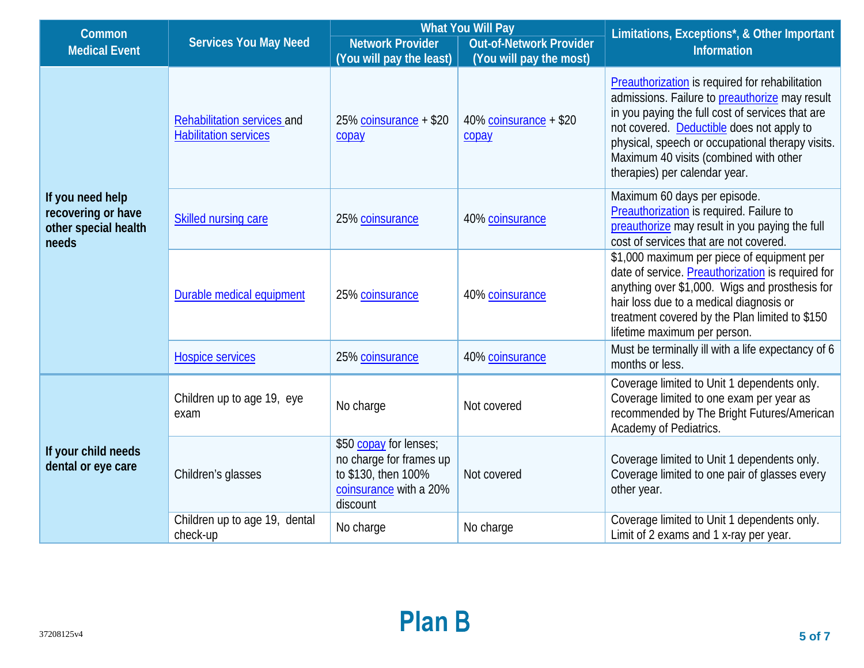| Common                                                                  |                                                             | <b>What You Will Pay</b>                                                                                       |                                 | Limitations, Exceptions*, & Other Important                                                                                                                                                                                                                                                                                       |
|-------------------------------------------------------------------------|-------------------------------------------------------------|----------------------------------------------------------------------------------------------------------------|---------------------------------|-----------------------------------------------------------------------------------------------------------------------------------------------------------------------------------------------------------------------------------------------------------------------------------------------------------------------------------|
| <b>Medical Event</b>                                                    | <b>Services You May Need</b>                                | <b>Network Provider</b>                                                                                        | <b>Out-of-Network Provider</b>  | <b>Information</b>                                                                                                                                                                                                                                                                                                                |
|                                                                         |                                                             | (You will pay the least)                                                                                       | (You will pay the most)         |                                                                                                                                                                                                                                                                                                                                   |
|                                                                         | Rehabilitation services and<br><b>Habilitation services</b> | 25% coinsurance + \$20<br>copay                                                                                | 40% coinsurance + \$20<br>copay | Preauthorization is required for rehabilitation<br>admissions. Failure to preauthorize may result<br>in you paying the full cost of services that are<br>not covered. Deductible does not apply to<br>physical, speech or occupational therapy visits.<br>Maximum 40 visits (combined with other<br>therapies) per calendar year. |
| If you need help<br>recovering or have<br>other special health<br>needs | <b>Skilled nursing care</b>                                 | 25% coinsurance                                                                                                | 40% coinsurance                 | Maximum 60 days per episode.<br>Preauthorization is required. Failure to<br>preauthorize may result in you paying the full<br>cost of services that are not covered.                                                                                                                                                              |
|                                                                         | Durable medical equipment                                   | 25% coinsurance                                                                                                | 40% coinsurance                 | \$1,000 maximum per piece of equipment per<br>date of service. Preauthorization is required for<br>anything over \$1,000. Wigs and prosthesis for<br>hair loss due to a medical diagnosis or<br>treatment covered by the Plan limited to \$150<br>lifetime maximum per person.                                                    |
|                                                                         | <b>Hospice services</b>                                     | 25% coinsurance                                                                                                | 40% coinsurance                 | Must be terminally ill with a life expectancy of 6<br>months or less.                                                                                                                                                                                                                                                             |
|                                                                         | Children up to age 19, eye<br>exam                          | No charge                                                                                                      | Not covered                     | Coverage limited to Unit 1 dependents only.<br>Coverage limited to one exam per year as<br>recommended by The Bright Futures/American<br>Academy of Pediatrics.                                                                                                                                                                   |
| If your child needs<br>dental or eye care                               | Children's glasses                                          | \$50 copay for lenses;<br>no charge for frames up<br>to \$130, then 100%<br>coinsurance with a 20%<br>discount | Not covered                     | Coverage limited to Unit 1 dependents only.<br>Coverage limited to one pair of glasses every<br>other year.                                                                                                                                                                                                                       |
|                                                                         | Children up to age 19, dental<br>check-up                   | No charge                                                                                                      | No charge                       | Coverage limited to Unit 1 dependents only.<br>Limit of 2 exams and 1 x-ray per year.                                                                                                                                                                                                                                             |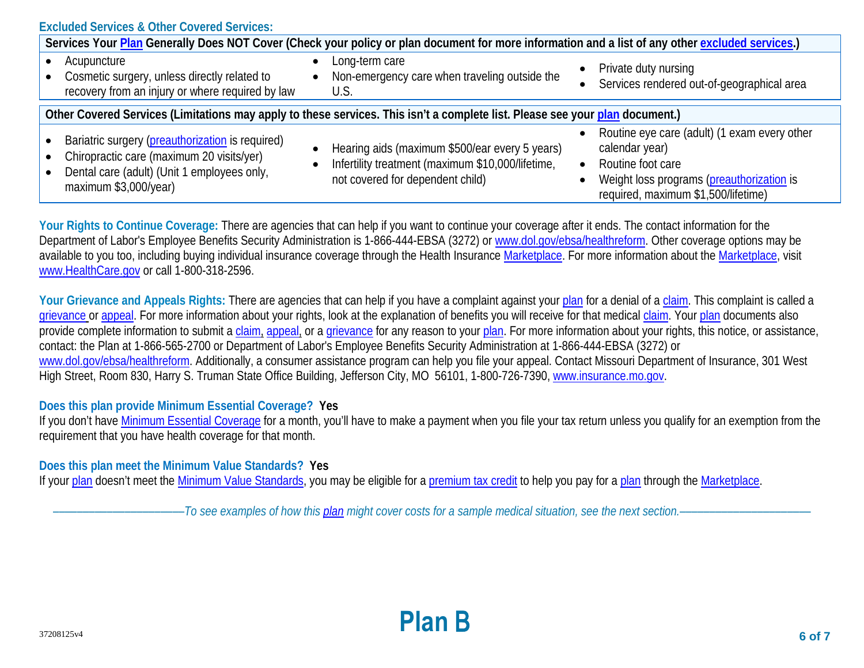| <b>Excluded Services &amp; Other Covered Services:</b>                                                                                                                                                                                                                                                                                                                                                                                                                                                                             |                                                                                                   |                                                                    |  |  |  |
|------------------------------------------------------------------------------------------------------------------------------------------------------------------------------------------------------------------------------------------------------------------------------------------------------------------------------------------------------------------------------------------------------------------------------------------------------------------------------------------------------------------------------------|---------------------------------------------------------------------------------------------------|--------------------------------------------------------------------|--|--|--|
| Services Your Plan Generally Does NOT Cover (Check your policy or plan document for more information and a list of any other excluded services.)                                                                                                                                                                                                                                                                                                                                                                                   |                                                                                                   |                                                                    |  |  |  |
| Acupuncture<br>Cosmetic surgery, unless directly related to<br>recovery from an injury or where required by law                                                                                                                                                                                                                                                                                                                                                                                                                    | Long-term care<br>$\bullet$<br>Non-emergency care when traveling outside the<br>$\bullet$<br>U.S. | Private duty nursing<br>Services rendered out-of-geographical area |  |  |  |
| Other Covered Services (Limitations may apply to these services. This isn't a complete list. Please see your plan document.)                                                                                                                                                                                                                                                                                                                                                                                                       |                                                                                                   |                                                                    |  |  |  |
| Routine eye care (adult) (1 exam every other<br>Bariatric surgery (preauthorization is required)<br>calendar year)<br>Hearing aids (maximum \$500/ear every 5 years)<br>$\bullet$<br>Chiropractic care (maximum 20 visits/yer)<br>Infertility treatment (maximum \$10,000/lifetime,<br>Routine foot care<br>$\bullet$<br>$\bullet$<br>Dental care (adult) (Unit 1 employees only,<br>not covered for dependent child)<br>Weight loss programs (preauthorization is<br>maximum \$3,000/year)<br>required, maximum \$1,500/lifetime) |                                                                                                   |                                                                    |  |  |  |

Your Rights to Continue Coverage: There are agencies that can help if you want to continue your coverage after it ends. The contact information for the Department of Labor's Employee Benefits Security Administration is 1-866-444-EBSA (3272) o[r www.dol.gov/ebsa/healthreform.](http://www.dol.gov/ebsa/healthreform) Other coverage options may be available to you too, including buying individual insurance coverage through the Health Insurance [Marketplace.](https://www.healthcare.gov/sbc-glossary/#marketplace) For more information about the [Marketplace,](https://www.healthcare.gov/sbc-glossary/#marketplace) visit [www.HealthCare.gov](http://www.healthcare.gov/) or call 1-800-318-2596.

Your Grievance and Appeals Rights: There are agencies that can help if you have a complaint against you[r plan](https://www.healthcare.gov/sbc-glossary/#plan) for a denial of a [claim.](https://www.healthcare.gov/sbc-glossary/#claim) This complaint is called a [grievance](https://www.healthcare.gov/sbc-glossary/#grievance) or [appeal.](https://www.healthcare.gov/sbc-glossary/#appeal) For more information about your rights, look at the explanation of benefits you will receive for that medica[l claim.](https://www.healthcare.gov/sbc-glossary/#claim) Your [plan](https://www.healthcare.gov/sbc-glossary/#plan) documents also provide complete information to submit a [claim,](https://www.healthcare.gov/sbc-glossary/#claim) [appeal,](https://www.healthcare.gov/sbc-glossary/#appeal) or a [grievance](https://www.healthcare.gov/sbc-glossary/#grievance) for any reason to your [plan.](https://www.healthcare.gov/sbc-glossary/#plan) For more information about your rights, this notice, or assistance, contact: the Plan at 1-866-565-2700 or Department of Labor's Employee Benefits Security Administration at 1-866-444-EBSA (3272) or [www.dol.gov/ebsa/healthreform.](http://www.dol.gov/ebsa/healthreform) Additionally, a consumer assistance program can help you file your appeal. Contact Missouri Department of Insurance, 301 West High Street, Room 830, Harry S. Truman State Office Building, Jefferson City, MO 56101, 1-800-726-7390, [www.insurance.mo.gov.](http://www.insurance.mo.gov/)

## **Does this plan provide Minimum Essential Coverage? Yes**

If you don't have [Minimum Essential Coverage](https://www.healthcare.gov/sbc-glossary/#minimum-essential-coverage) for a month, you'll have to make a payment when you file your tax return unless you qualify for an exemption from the requirement that you have health coverage for that month.

## **Does this plan meet the Minimum Value Standards? Yes**

If your [plan](https://www.healthcare.gov/sbc-glossary/#plan) doesn't meet the [Minimum Value Standards,](https://www.healthcare.gov/sbc-glossary/#minimum-value-standard) you may be eligible for a [premium tax credit](https://www.healthcare.gov/sbc-glossary/#premium-tax-credits) to help you pay for a plan through the Marketplace.

––––––––––––––––––––––*To see examples of how this [plan](https://www.healthcare.gov/sbc-glossary/#plan) might cover costs for a sample medical situation, see the next section.–––––––––––*–––––––––––